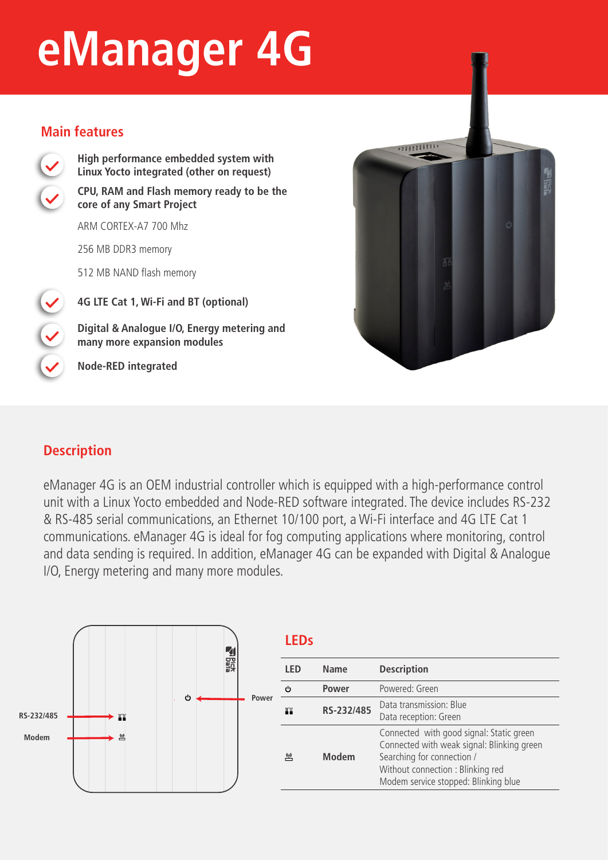# **eManager 4G**

#### **Main features**



**High performance embedded system with Linux Yocto integrated (other on request) CPU, RAM and Flash memory ready to be the core of any Smart Project** 

ARM CORTEX-A7 700 Mhz

256 MB DDR3 memory

512 MB NAND flash memory

**4G LTE Cat 1, Wi-Fi and BT (optional)**

**Digital & Analogue I/O, Energy metering and many more expansion modules**

**Node-RED integrated**



## **Description**

eManager 4G is an OEM industrial controller which is equipped with a high-performance control unit with a Linux Yocto embedded and Node-RED software integrated. The device includes RS-232 & RS-485 serial communications, an Ethernet 10/100 port, a Wi-Fi interface and 4G LTE Cat 1 communications. eManager 4G is ideal for fog computing applications where monitoring, control and data sending is required. In addition, eManager 4G can be expanded with Digital & Analogue I/O, Energy metering and many more modules.



|    | <b>LEDs</b> |              |                                                                                                                                                                                                  |  |
|----|-------------|--------------|--------------------------------------------------------------------------------------------------------------------------------------------------------------------------------------------------|--|
|    | <b>LED</b>  | Name         | <b>Description</b>                                                                                                                                                                               |  |
| er | ტ           | Power        | Powered: Green                                                                                                                                                                                   |  |
|    | Ш           | RS-232/485   | Data transmission: Blue<br>Data reception: Green                                                                                                                                                 |  |
|    | 凹           | <b>Modem</b> | Connected with good signal: Static green<br>Connected with weak signal: Blinking green<br>Searching for connection /<br>Without connection: Blinking red<br>Modem service stopped: Blinking blue |  |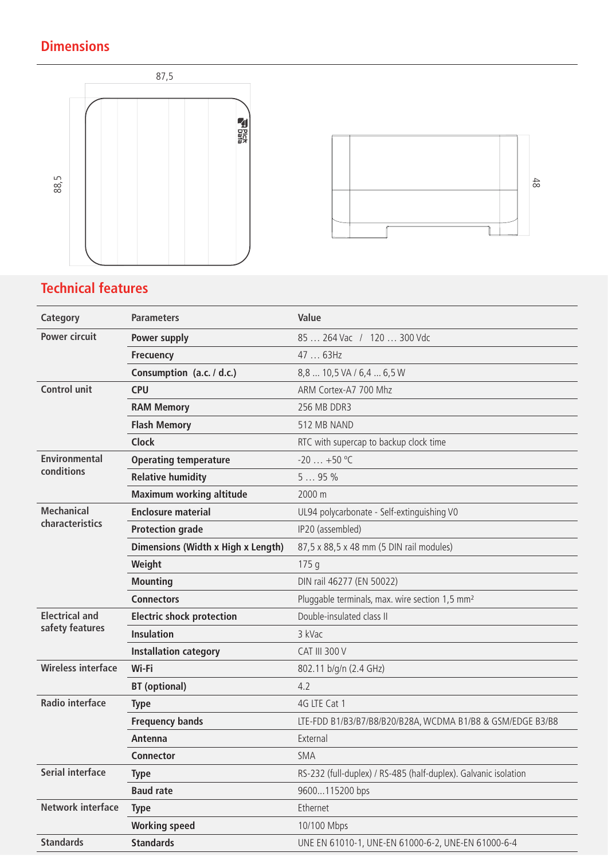## **Dimensions**





## **Technical features**

| <b>Power circuit</b><br>85  264 Vac / 120  300 Vdc<br>Power supply<br>47  63Hz<br><b>Frecuency</b><br>Consumption (a.c. / d.c.)<br>8,8  10,5 VA / 6,4  6,5 W<br><b>Control unit</b><br><b>CPU</b><br>ARM Cortex-A7 700 Mhz<br><b>RAM Memory</b><br>256 MB DDR3<br>512 MB NAND<br><b>Flash Memory</b><br><b>Clock</b><br>RTC with supercap to backup clock time<br><b>Environmental</b><br>$-20$ $+50$ °C<br><b>Operating temperature</b><br>conditions<br>595%<br><b>Relative humidity</b><br><b>Maximum working altitude</b><br>2000 m<br><b>Mechanical</b><br><b>Enclosure material</b><br>UL94 polycarbonate - Self-extinguishing V0<br>characteristics<br>IP20 (assembled)<br><b>Protection grade</b><br>Dimensions (Width x High x Length)<br>87,5 x 88,5 x 48 mm (5 DIN rail modules)<br>Weight<br>175q<br><b>Mounting</b><br>DIN rail 46277 (EN 50022)<br><b>Connectors</b><br>Pluggable terminals, max. wire section 1,5 mm <sup>2</sup><br><b>Electrical and</b><br>Double-insulated class II<br><b>Electric shock protection</b><br>safety features<br><b>Insulation</b><br>3 kVac<br><b>CAT III 300 V</b><br><b>Installation category</b><br><b>Wireless interface</b><br>Wi-Fi<br>802.11 b/g/n (2.4 GHz)<br><b>BT</b> (optional)<br>4.2<br><b>Radio interface</b><br>4G LTE Cat 1<br><b>Type</b><br><b>Frequency bands</b><br>LTE-FDD B1/B3/B7/B8/B20/B28A, WCDMA B1/B8 & GSM/EDGE B3/B8<br>External<br>Antenna<br><b>SMA</b><br><b>Connector</b><br><b>Serial interface</b><br>RS-232 (full-duplex) / RS-485 (half-duplex). Galvanic isolation<br><b>Type</b><br><b>Baud rate</b><br>9600115200 bps<br>Network interface<br>Ethernet<br><b>Type</b><br><b>Working speed</b><br>10/100 Mbps<br><b>Standards</b><br><b>Standards</b><br>UNE EN 61010-1, UNE-EN 61000-6-2, UNE-EN 61000-6-4 | <b>Category</b> | <b>Parameters</b> | Value |
|-------------------------------------------------------------------------------------------------------------------------------------------------------------------------------------------------------------------------------------------------------------------------------------------------------------------------------------------------------------------------------------------------------------------------------------------------------------------------------------------------------------------------------------------------------------------------------------------------------------------------------------------------------------------------------------------------------------------------------------------------------------------------------------------------------------------------------------------------------------------------------------------------------------------------------------------------------------------------------------------------------------------------------------------------------------------------------------------------------------------------------------------------------------------------------------------------------------------------------------------------------------------------------------------------------------------------------------------------------------------------------------------------------------------------------------------------------------------------------------------------------------------------------------------------------------------------------------------------------------------------------------------------------------------------------------------------------------------------------------------------------------------------------------------------------|-----------------|-------------------|-------|
|                                                                                                                                                                                                                                                                                                                                                                                                                                                                                                                                                                                                                                                                                                                                                                                                                                                                                                                                                                                                                                                                                                                                                                                                                                                                                                                                                                                                                                                                                                                                                                                                                                                                                                                                                                                                       |                 |                   |       |
|                                                                                                                                                                                                                                                                                                                                                                                                                                                                                                                                                                                                                                                                                                                                                                                                                                                                                                                                                                                                                                                                                                                                                                                                                                                                                                                                                                                                                                                                                                                                                                                                                                                                                                                                                                                                       |                 |                   |       |
|                                                                                                                                                                                                                                                                                                                                                                                                                                                                                                                                                                                                                                                                                                                                                                                                                                                                                                                                                                                                                                                                                                                                                                                                                                                                                                                                                                                                                                                                                                                                                                                                                                                                                                                                                                                                       |                 |                   |       |
|                                                                                                                                                                                                                                                                                                                                                                                                                                                                                                                                                                                                                                                                                                                                                                                                                                                                                                                                                                                                                                                                                                                                                                                                                                                                                                                                                                                                                                                                                                                                                                                                                                                                                                                                                                                                       |                 |                   |       |
|                                                                                                                                                                                                                                                                                                                                                                                                                                                                                                                                                                                                                                                                                                                                                                                                                                                                                                                                                                                                                                                                                                                                                                                                                                                                                                                                                                                                                                                                                                                                                                                                                                                                                                                                                                                                       |                 |                   |       |
|                                                                                                                                                                                                                                                                                                                                                                                                                                                                                                                                                                                                                                                                                                                                                                                                                                                                                                                                                                                                                                                                                                                                                                                                                                                                                                                                                                                                                                                                                                                                                                                                                                                                                                                                                                                                       |                 |                   |       |
|                                                                                                                                                                                                                                                                                                                                                                                                                                                                                                                                                                                                                                                                                                                                                                                                                                                                                                                                                                                                                                                                                                                                                                                                                                                                                                                                                                                                                                                                                                                                                                                                                                                                                                                                                                                                       |                 |                   |       |
|                                                                                                                                                                                                                                                                                                                                                                                                                                                                                                                                                                                                                                                                                                                                                                                                                                                                                                                                                                                                                                                                                                                                                                                                                                                                                                                                                                                                                                                                                                                                                                                                                                                                                                                                                                                                       |                 |                   |       |
|                                                                                                                                                                                                                                                                                                                                                                                                                                                                                                                                                                                                                                                                                                                                                                                                                                                                                                                                                                                                                                                                                                                                                                                                                                                                                                                                                                                                                                                                                                                                                                                                                                                                                                                                                                                                       |                 |                   |       |
|                                                                                                                                                                                                                                                                                                                                                                                                                                                                                                                                                                                                                                                                                                                                                                                                                                                                                                                                                                                                                                                                                                                                                                                                                                                                                                                                                                                                                                                                                                                                                                                                                                                                                                                                                                                                       |                 |                   |       |
|                                                                                                                                                                                                                                                                                                                                                                                                                                                                                                                                                                                                                                                                                                                                                                                                                                                                                                                                                                                                                                                                                                                                                                                                                                                                                                                                                                                                                                                                                                                                                                                                                                                                                                                                                                                                       |                 |                   |       |
|                                                                                                                                                                                                                                                                                                                                                                                                                                                                                                                                                                                                                                                                                                                                                                                                                                                                                                                                                                                                                                                                                                                                                                                                                                                                                                                                                                                                                                                                                                                                                                                                                                                                                                                                                                                                       |                 |                   |       |
|                                                                                                                                                                                                                                                                                                                                                                                                                                                                                                                                                                                                                                                                                                                                                                                                                                                                                                                                                                                                                                                                                                                                                                                                                                                                                                                                                                                                                                                                                                                                                                                                                                                                                                                                                                                                       |                 |                   |       |
|                                                                                                                                                                                                                                                                                                                                                                                                                                                                                                                                                                                                                                                                                                                                                                                                                                                                                                                                                                                                                                                                                                                                                                                                                                                                                                                                                                                                                                                                                                                                                                                                                                                                                                                                                                                                       |                 |                   |       |
|                                                                                                                                                                                                                                                                                                                                                                                                                                                                                                                                                                                                                                                                                                                                                                                                                                                                                                                                                                                                                                                                                                                                                                                                                                                                                                                                                                                                                                                                                                                                                                                                                                                                                                                                                                                                       |                 |                   |       |
|                                                                                                                                                                                                                                                                                                                                                                                                                                                                                                                                                                                                                                                                                                                                                                                                                                                                                                                                                                                                                                                                                                                                                                                                                                                                                                                                                                                                                                                                                                                                                                                                                                                                                                                                                                                                       |                 |                   |       |
|                                                                                                                                                                                                                                                                                                                                                                                                                                                                                                                                                                                                                                                                                                                                                                                                                                                                                                                                                                                                                                                                                                                                                                                                                                                                                                                                                                                                                                                                                                                                                                                                                                                                                                                                                                                                       |                 |                   |       |
|                                                                                                                                                                                                                                                                                                                                                                                                                                                                                                                                                                                                                                                                                                                                                                                                                                                                                                                                                                                                                                                                                                                                                                                                                                                                                                                                                                                                                                                                                                                                                                                                                                                                                                                                                                                                       |                 |                   |       |
|                                                                                                                                                                                                                                                                                                                                                                                                                                                                                                                                                                                                                                                                                                                                                                                                                                                                                                                                                                                                                                                                                                                                                                                                                                                                                                                                                                                                                                                                                                                                                                                                                                                                                                                                                                                                       |                 |                   |       |
|                                                                                                                                                                                                                                                                                                                                                                                                                                                                                                                                                                                                                                                                                                                                                                                                                                                                                                                                                                                                                                                                                                                                                                                                                                                                                                                                                                                                                                                                                                                                                                                                                                                                                                                                                                                                       |                 |                   |       |
|                                                                                                                                                                                                                                                                                                                                                                                                                                                                                                                                                                                                                                                                                                                                                                                                                                                                                                                                                                                                                                                                                                                                                                                                                                                                                                                                                                                                                                                                                                                                                                                                                                                                                                                                                                                                       |                 |                   |       |
|                                                                                                                                                                                                                                                                                                                                                                                                                                                                                                                                                                                                                                                                                                                                                                                                                                                                                                                                                                                                                                                                                                                                                                                                                                                                                                                                                                                                                                                                                                                                                                                                                                                                                                                                                                                                       |                 |                   |       |
|                                                                                                                                                                                                                                                                                                                                                                                                                                                                                                                                                                                                                                                                                                                                                                                                                                                                                                                                                                                                                                                                                                                                                                                                                                                                                                                                                                                                                                                                                                                                                                                                                                                                                                                                                                                                       |                 |                   |       |
|                                                                                                                                                                                                                                                                                                                                                                                                                                                                                                                                                                                                                                                                                                                                                                                                                                                                                                                                                                                                                                                                                                                                                                                                                                                                                                                                                                                                                                                                                                                                                                                                                                                                                                                                                                                                       |                 |                   |       |
|                                                                                                                                                                                                                                                                                                                                                                                                                                                                                                                                                                                                                                                                                                                                                                                                                                                                                                                                                                                                                                                                                                                                                                                                                                                                                                                                                                                                                                                                                                                                                                                                                                                                                                                                                                                                       |                 |                   |       |
|                                                                                                                                                                                                                                                                                                                                                                                                                                                                                                                                                                                                                                                                                                                                                                                                                                                                                                                                                                                                                                                                                                                                                                                                                                                                                                                                                                                                                                                                                                                                                                                                                                                                                                                                                                                                       |                 |                   |       |
|                                                                                                                                                                                                                                                                                                                                                                                                                                                                                                                                                                                                                                                                                                                                                                                                                                                                                                                                                                                                                                                                                                                                                                                                                                                                                                                                                                                                                                                                                                                                                                                                                                                                                                                                                                                                       |                 |                   |       |
|                                                                                                                                                                                                                                                                                                                                                                                                                                                                                                                                                                                                                                                                                                                                                                                                                                                                                                                                                                                                                                                                                                                                                                                                                                                                                                                                                                                                                                                                                                                                                                                                                                                                                                                                                                                                       |                 |                   |       |
|                                                                                                                                                                                                                                                                                                                                                                                                                                                                                                                                                                                                                                                                                                                                                                                                                                                                                                                                                                                                                                                                                                                                                                                                                                                                                                                                                                                                                                                                                                                                                                                                                                                                                                                                                                                                       |                 |                   |       |
|                                                                                                                                                                                                                                                                                                                                                                                                                                                                                                                                                                                                                                                                                                                                                                                                                                                                                                                                                                                                                                                                                                                                                                                                                                                                                                                                                                                                                                                                                                                                                                                                                                                                                                                                                                                                       |                 |                   |       |